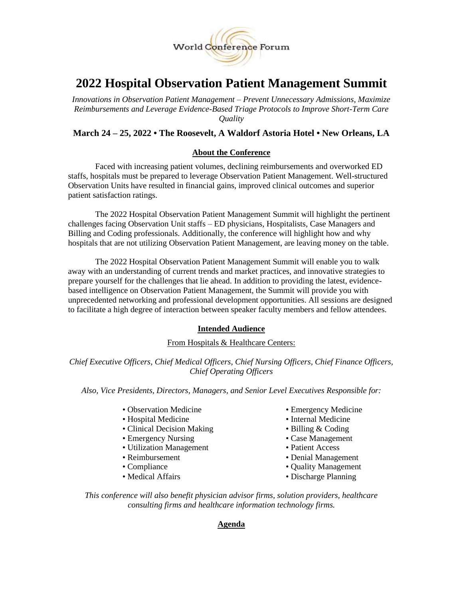

# **2022 Hospital Observation Patient Management Summit**

*Innovations in Observation Patient Management – Prevent Unnecessary Admissions, Maximize Reimbursements and Leverage Evidence-Based Triage Protocols to Improve Short-Term Care Quality*

# **March 24 – 25, 2022 • The Roosevelt, A Waldorf Astoria Hotel • New Orleans, LA**

# **About the Conference**

Faced with increasing patient volumes, declining reimbursements and overworked ED staffs, hospitals must be prepared to leverage Observation Patient Management. Well-structured Observation Units have resulted in financial gains, improved clinical outcomes and superior patient satisfaction ratings.

The 2022 Hospital Observation Patient Management Summit will highlight the pertinent challenges facing Observation Unit staffs – ED physicians, Hospitalists, Case Managers and Billing and Coding professionals. Additionally, the conference will highlight how and why hospitals that are not utilizing Observation Patient Management, are leaving money on the table.

The 2022 Hospital Observation Patient Management Summit will enable you to walk away with an understanding of current trends and market practices, and innovative strategies to prepare yourself for the challenges that lie ahead. In addition to providing the latest, evidencebased intelligence on Observation Patient Management, the Summit will provide you with unprecedented networking and professional development opportunities. All sessions are designed to facilitate a high degree of interaction between speaker faculty members and fellow attendees.

# **Intended Audience**

#### From Hospitals & Healthcare Centers:

*Chief Executive Officers, Chief Medical Officers, Chief Nursing Officers, Chief Finance Officers, Chief Operating Officers*

*Also, Vice Presidents, Directors, Managers, and Senior Level Executives Responsible for:*

- Observation Medicine Emergency Medicine
- Hospital Medicine Internal Medicine
- Clinical Decision Making Billing & Coding
- Emergency Nursing Case Management
- Utilization Management Patient Access
- Reimbursement Denial Management
- 
- 
- 
- 
- 
- 
- 
- 
- Compliance Compliance Quality Management
- Medical Affairs Discharge Planning

*This conference will also benefit physician advisor firms, solution providers, healthcare consulting firms and healthcare information technology firms.*

#### **Agenda**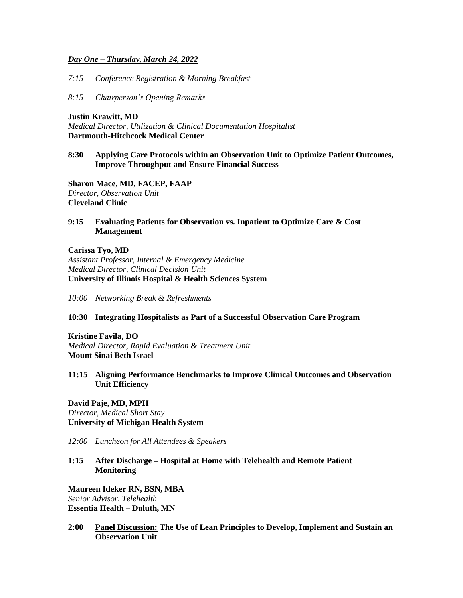#### *Day One – Thursday, March 24, 2022*

*7:15 Conference Registration & Morning Breakfast*

*8:15 Chairperson's Opening Remarks*

**Justin Krawitt, MD** *Medical Director, Utilization & Clinical Documentation Hospitalist* **Dartmouth-Hitchcock Medical Center**

# **8:30 Applying Care Protocols within an Observation Unit to Optimize Patient Outcomes, Improve Throughput and Ensure Financial Success**

**Sharon Mace, MD, FACEP, FAAP** *Director, Observation Unit* **Cleveland Clinic**

**9:15 Evaluating Patients for Observation vs. Inpatient to Optimize Care & Cost Management**

#### **Carissa Tyo, MD**

*Assistant Professor, Internal & Emergency Medicine Medical Director, Clinical Decision Unit* **University of Illinois Hospital & Health Sciences System**

*10:00 Networking Break & Refreshments* 

#### **10:30 Integrating Hospitalists as Part of a Successful Observation Care Program**

**Kristine Favila, DO** *Medical Director, Rapid Evaluation & Treatment Unit* **Mount Sinai Beth Israel**

#### **11:15 Aligning Performance Benchmarks to Improve Clinical Outcomes and Observation Unit Efficiency**

**David Paje, MD, MPH** *Director, Medical Short Stay* **University of Michigan Health System**

*12:00 Luncheon for All Attendees & Speakers*

**1:15 After Discharge – Hospital at Home with Telehealth and Remote Patient Monitoring**

**Maureen Ideker RN, BSN, MBA** *Senior Advisor, Telehealth* **Essentia Health – Duluth, MN**

**2:00 Panel Discussion: The Use of Lean Principles to Develop, Implement and Sustain an Observation Unit**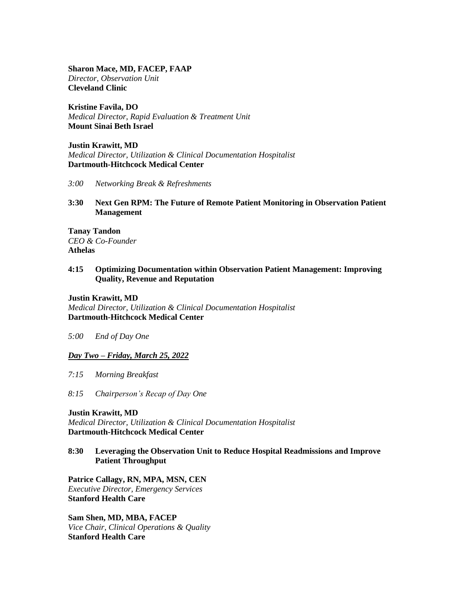**Sharon Mace, MD, FACEP, FAAP** *Director, Observation Unit* **Cleveland Clinic**

**Kristine Favila, DO** *Medical Director, Rapid Evaluation & Treatment Unit* **Mount Sinai Beth Israel**

**Justin Krawitt, MD** *Medical Director, Utilization & Clinical Documentation Hospitalist* **Dartmouth-Hitchcock Medical Center**

*3:00 Networking Break & Refreshments*

**3:30 Next Gen RPM: The Future of Remote Patient Monitoring in Observation Patient Management**

**Tanay Tandon** *CEO & Co-Founder* **Athelas**

# **4:15 Optimizing Documentation within Observation Patient Management: Improving Quality, Revenue and Reputation**

**Justin Krawitt, MD** *Medical Director, Utilization & Clinical Documentation Hospitalist* **Dartmouth-Hitchcock Medical Center**

*5:00 End of Day One*

#### *Day Two – Friday, March 25, 2022*

*7:15 Morning Breakfast*

*8:15 Chairperson's Recap of Day One*

**Justin Krawitt, MD** *Medical Director, Utilization & Clinical Documentation Hospitalist* **Dartmouth-Hitchcock Medical Center**

# **8:30 Leveraging the Observation Unit to Reduce Hospital Readmissions and Improve Patient Throughput**

**Patrice Callagy, RN, MPA, MSN, CEN** *Executive Director, Emergency Services* **Stanford Health Care**

**Sam Shen, MD, MBA, FACEP** *Vice Chair, Clinical Operations & Quality* **Stanford Health Care**